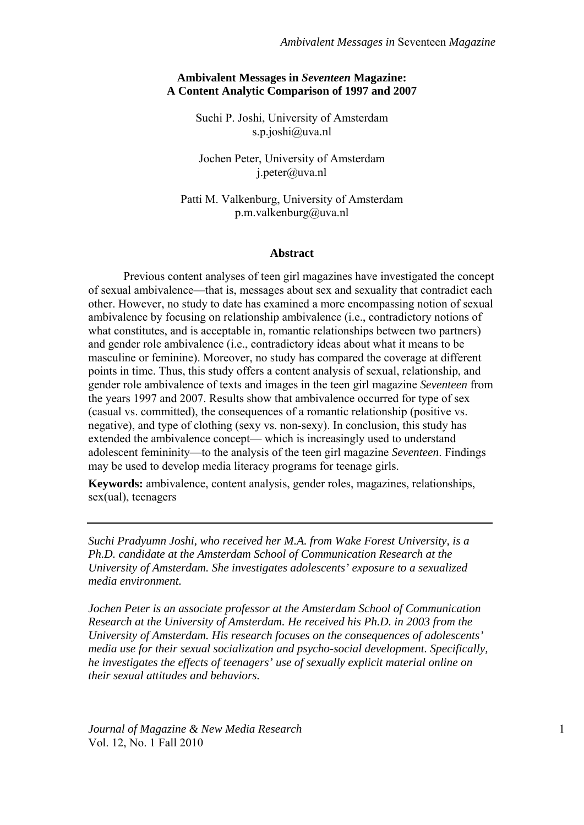## **Ambivalent Messages in** *Seventeen* **Magazine: A Content Analytic Comparison of 1997 and 2007**

Suchi P. Joshi, University of Amsterdam s.p.joshi@uva.nl

Jochen Peter, University of Amsterdam j.peter@uva.nl

Patti M. Valkenburg, University of Amsterdam p.m.valkenburg@uva.nl

#### **Abstract**

Previous content analyses of teen girl magazines have investigated the concept of sexual ambivalence—that is, messages about sex and sexuality that contradict each other. However, no study to date has examined a more encompassing notion of sexual ambivalence by focusing on relationship ambivalence (i.e., contradictory notions of what constitutes, and is acceptable in, romantic relationships between two partners) and gender role ambivalence (i.e., contradictory ideas about what it means to be masculine or feminine). Moreover, no study has compared the coverage at different points in time. Thus, this study offers a content analysis of sexual, relationship, and gender role ambivalence of texts and images in the teen girl magazine *Seventeen* from the years 1997 and 2007. Results show that ambivalence occurred for type of sex (casual vs. committed), the consequences of a romantic relationship (positive vs. negative), and type of clothing (sexy vs. non-sexy). In conclusion, this study has extended the ambivalence concept— which is increasingly used to understand adolescent femininity—to the analysis of the teen girl magazine *Seventeen*. Findings may be used to develop media literacy programs for teenage girls.

**Keywords:** ambivalence, content analysis, gender roles, magazines, relationships, sex(ual), teenagers

*Suchi Pradyumn Joshi, who received her M.A. from Wake Forest University, is a Ph.D. candidate at the Amsterdam School of Communication Research at the University of Amsterdam. She investigates adolescents' exposure to a sexualized media environment.* 

*Jochen Peter is an associate professor at the Amsterdam School of Communication Research at the University of Amsterdam. He received his Ph.D. in 2003 from the University of Amsterdam. His research focuses on the consequences of adolescents' media use for their sexual socialization and psycho-social development. Specifically, he investigates the effects of teenagers' use of sexually explicit material online on their sexual attitudes and behaviors.* 

*Journal of Magazine & New Media Research* 1 Vol. 12, No. 1 Fall 2010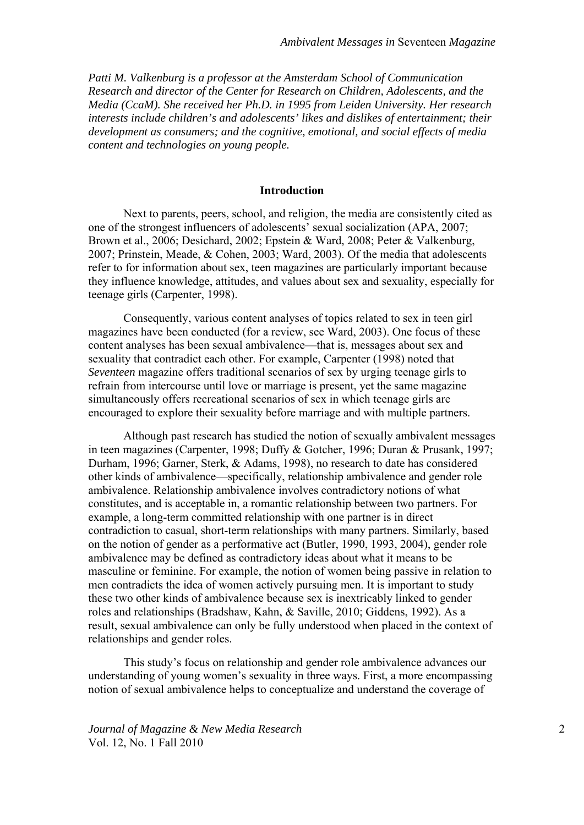*Patti M. Valkenburg is a professor at the Amsterdam School of Communication Research and director of the Center for Research on Children, Adolescents, and the Media (CcaM). She received her Ph.D. in 1995 from Leiden University. Her research interests include children's and adolescents' likes and dislikes of entertainment; their development as consumers; and the cognitive, emotional, and social effects of media content and technologies on young people.* 

## **Introduction**

Next to parents, peers, school, and religion, the media are consistently cited as one of the strongest influencers of adolescents' sexual socialization (APA, 2007; Brown et al., 2006; Desichard, 2002; Epstein & Ward, 2008; Peter & Valkenburg, 2007; Prinstein, Meade, & Cohen, 2003; Ward, 2003). Of the media that adolescents refer to for information about sex, teen magazines are particularly important because they influence knowledge, attitudes, and values about sex and sexuality, especially for teenage girls (Carpenter, 1998).

Consequently, various content analyses of topics related to sex in teen girl magazines have been conducted (for a review, see Ward, 2003). One focus of these content analyses has been sexual ambivalence—that is, messages about sex and sexuality that contradict each other. For example, Carpenter (1998) noted that *Seventeen* magazine offers traditional scenarios of sex by urging teenage girls to refrain from intercourse until love or marriage is present, yet the same magazine simultaneously offers recreational scenarios of sex in which teenage girls are encouraged to explore their sexuality before marriage and with multiple partners.

Although past research has studied the notion of sexually ambivalent messages in teen magazines (Carpenter, 1998; Duffy & Gotcher, 1996; Duran & Prusank, 1997; Durham, 1996; Garner, Sterk, & Adams, 1998), no research to date has considered other kinds of ambivalence—specifically, relationship ambivalence and gender role ambivalence. Relationship ambivalence involves contradictory notions of what constitutes, and is acceptable in, a romantic relationship between two partners. For example, a long-term committed relationship with one partner is in direct contradiction to casual, short-term relationships with many partners. Similarly, based on the notion of gender as a performative act (Butler, 1990, 1993, 2004), gender role ambivalence may be defined as contradictory ideas about what it means to be masculine or feminine. For example, the notion of women being passive in relation to men contradicts the idea of women actively pursuing men. It is important to study these two other kinds of ambivalence because sex is inextricably linked to gender roles and relationships (Bradshaw, Kahn, & Saville, 2010; Giddens, 1992). As a result, sexual ambivalence can only be fully understood when placed in the context of relationships and gender roles.

This study's focus on relationship and gender role ambivalence advances our understanding of young women's sexuality in three ways. First, a more encompassing notion of sexual ambivalence helps to conceptualize and understand the coverage of

*Journal of Magazine & New Media Research* 2 Vol. 12, No. 1 Fall 2010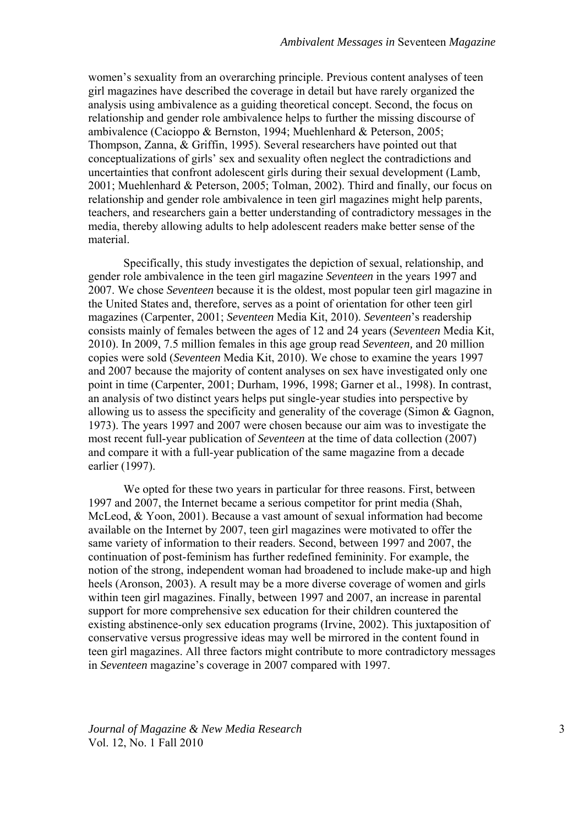women's sexuality from an overarching principle. Previous content analyses of teen girl magazines have described the coverage in detail but have rarely organized the analysis using ambivalence as a guiding theoretical concept. Second, the focus on relationship and gender role ambivalence helps to further the missing discourse of ambivalence (Cacioppo & Bernston, 1994; Muehlenhard & Peterson, 2005; Thompson, Zanna, & Griffin, 1995). Several researchers have pointed out that conceptualizations of girls' sex and sexuality often neglect the contradictions and uncertainties that confront adolescent girls during their sexual development (Lamb, 2001; Muehlenhard & Peterson, 2005; Tolman, 2002). Third and finally, our focus on relationship and gender role ambivalence in teen girl magazines might help parents, teachers, and researchers gain a better understanding of contradictory messages in the media, thereby allowing adults to help adolescent readers make better sense of the material.

Specifically, this study investigates the depiction of sexual, relationship, and gender role ambivalence in the teen girl magazine *Seventeen* in the years 1997 and 2007. We chose *Seventeen* because it is the oldest, most popular teen girl magazine in the United States and, therefore, serves as a point of orientation for other teen girl magazines (Carpenter, 2001; *Seventeen* Media Kit, 2010). *Seventeen*'s readership consists mainly of females between the ages of 12 and 24 years (*Seventeen* Media Kit, 2010). In 2009, 7.5 million females in this age group read *Seventeen,* and 20 million copies were sold (*Seventeen* Media Kit, 2010). We chose to examine the years 1997 and 2007 because the majority of content analyses on sex have investigated only one point in time (Carpenter, 2001; Durham, 1996, 1998; Garner et al., 1998). In contrast, an analysis of two distinct years helps put single-year studies into perspective by allowing us to assess the specificity and generality of the coverage (Simon & Gagnon, 1973). The years 1997 and 2007 were chosen because our aim was to investigate the most recent full-year publication of *Seventeen* at the time of data collection (2007) and compare it with a full-year publication of the same magazine from a decade earlier (1997).

We opted for these two years in particular for three reasons. First, between 1997 and 2007, the Internet became a serious competitor for print media (Shah, McLeod, & Yoon, 2001). Because a vast amount of sexual information had become available on the Internet by 2007, teen girl magazines were motivated to offer the same variety of information to their readers. Second, between 1997 and 2007, the continuation of post-feminism has further redefined femininity. For example, the notion of the strong, independent woman had broadened to include make-up and high heels (Aronson, 2003). A result may be a more diverse coverage of women and girls within teen girl magazines. Finally, between 1997 and 2007, an increase in parental support for more comprehensive sex education for their children countered the existing abstinence-only sex education programs (Irvine, 2002). This juxtaposition of conservative versus progressive ideas may well be mirrored in the content found in teen girl magazines. All three factors might contribute to more contradictory messages in *Seventeen* magazine's coverage in 2007 compared with 1997.

*Journal of Magazine & New Media Research* 3 Vol. 12, No. 1 Fall 2010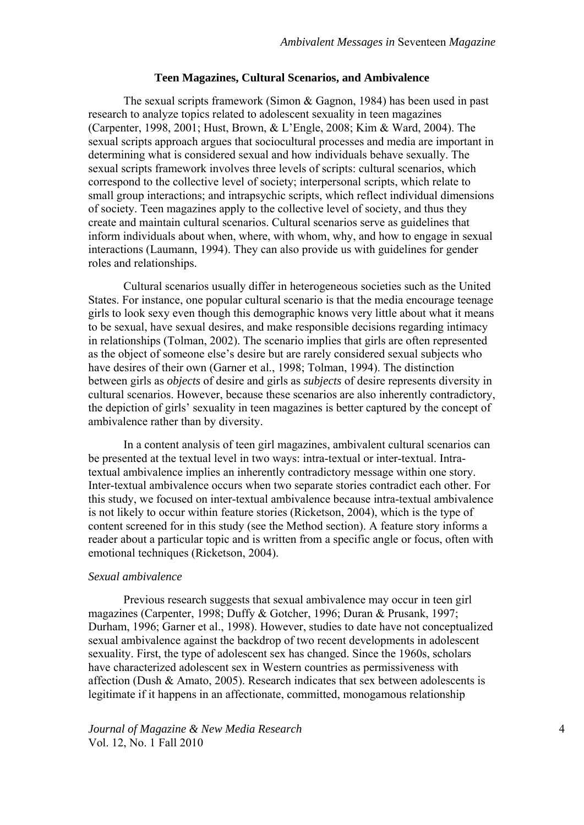#### **Teen Magazines, Cultural Scenarios, and Ambivalence**

The sexual scripts framework (Simon & Gagnon, 1984) has been used in past research to analyze topics related to adolescent sexuality in teen magazines (Carpenter, 1998, 2001; Hust, Brown, & L'Engle, 2008; Kim & Ward, 2004). The sexual scripts approach argues that sociocultural processes and media are important in determining what is considered sexual and how individuals behave sexually. The sexual scripts framework involves three levels of scripts: cultural scenarios, which correspond to the collective level of society; interpersonal scripts, which relate to small group interactions; and intrapsychic scripts, which reflect individual dimensions of society. Teen magazines apply to the collective level of society, and thus they create and maintain cultural scenarios. Cultural scenarios serve as guidelines that inform individuals about when, where, with whom, why, and how to engage in sexual interactions (Laumann, 1994). They can also provide us with guidelines for gender roles and relationships.

Cultural scenarios usually differ in heterogeneous societies such as the United States. For instance, one popular cultural scenario is that the media encourage teenage girls to look sexy even though this demographic knows very little about what it means to be sexual, have sexual desires, and make responsible decisions regarding intimacy in relationships (Tolman, 2002). The scenario implies that girls are often represented as the object of someone else's desire but are rarely considered sexual subjects who have desires of their own (Garner et al., 1998; Tolman, 1994). The distinction between girls as *objects* of desire and girls as *subjects* of desire represents diversity in cultural scenarios. However, because these scenarios are also inherently contradictory, the depiction of girls' sexuality in teen magazines is better captured by the concept of ambivalence rather than by diversity.

In a content analysis of teen girl magazines, ambivalent cultural scenarios can be presented at the textual level in two ways: intra-textual or inter-textual. Intratextual ambivalence implies an inherently contradictory message within one story. Inter-textual ambivalence occurs when two separate stories contradict each other. For this study, we focused on inter-textual ambivalence because intra-textual ambivalence is not likely to occur within feature stories (Ricketson, 2004), which is the type of content screened for in this study (see the Method section). A feature story informs a reader about a particular topic and is written from a specific angle or focus, often with emotional techniques (Ricketson, 2004).

## *Sexual ambivalence*

Previous research suggests that sexual ambivalence may occur in teen girl magazines (Carpenter, 1998; Duffy & Gotcher, 1996; Duran & Prusank, 1997; Durham, 1996; Garner et al., 1998). However, studies to date have not conceptualized sexual ambivalence against the backdrop of two recent developments in adolescent sexuality. First, the type of adolescent sex has changed. Since the 1960s, scholars have characterized adolescent sex in Western countries as permissiveness with affection (Dush & Amato, 2005). Research indicates that sex between adolescents is legitimate if it happens in an affectionate, committed, monogamous relationship

*Journal of Magazine & New Media Research* 4 Vol. 12, No. 1 Fall 2010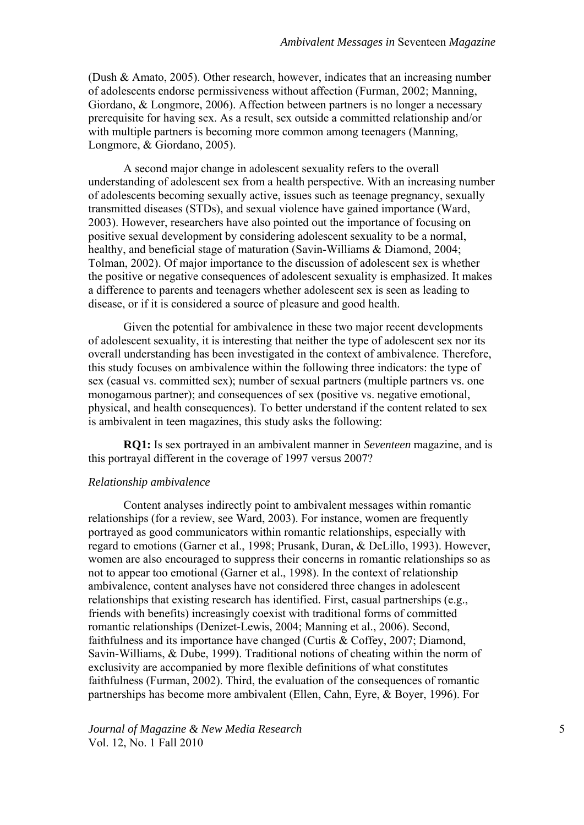(Dush & Amato, 2005). Other research, however, indicates that an increasing number of adolescents endorse permissiveness without affection (Furman, 2002; Manning, Giordano, & Longmore, 2006). Affection between partners is no longer a necessary prerequisite for having sex. As a result, sex outside a committed relationship and/or with multiple partners is becoming more common among teenagers (Manning, Longmore, & Giordano, 2005).

A second major change in adolescent sexuality refers to the overall understanding of adolescent sex from a health perspective. With an increasing number of adolescents becoming sexually active, issues such as teenage pregnancy, sexually transmitted diseases (STDs), and sexual violence have gained importance (Ward, 2003). However, researchers have also pointed out the importance of focusing on positive sexual development by considering adolescent sexuality to be a normal, healthy, and beneficial stage of maturation (Savin-Williams & Diamond, 2004; Tolman, 2002). Of major importance to the discussion of adolescent sex is whether the positive or negative consequences of adolescent sexuality is emphasized. It makes a difference to parents and teenagers whether adolescent sex is seen as leading to disease, or if it is considered a source of pleasure and good health.

Given the potential for ambivalence in these two major recent developments of adolescent sexuality, it is interesting that neither the type of adolescent sex nor its overall understanding has been investigated in the context of ambivalence. Therefore, this study focuses on ambivalence within the following three indicators: the type of sex (casual vs. committed sex); number of sexual partners (multiple partners vs. one monogamous partner); and consequences of sex (positive vs. negative emotional, physical, and health consequences). To better understand if the content related to sex is ambivalent in teen magazines, this study asks the following:

**RQ1:** Is sex portrayed in an ambivalent manner in *Seventeen* magazine, and is this portrayal different in the coverage of 1997 versus 2007?

### *Relationship ambivalence*

Content analyses indirectly point to ambivalent messages within romantic relationships (for a review, see Ward, 2003). For instance, women are frequently portrayed as good communicators within romantic relationships, especially with regard to emotions (Garner et al., 1998; Prusank, Duran, & DeLillo, 1993). However, women are also encouraged to suppress their concerns in romantic relationships so as not to appear too emotional (Garner et al., 1998). In the context of relationship ambivalence, content analyses have not considered three changes in adolescent relationships that existing research has identified. First, casual partnerships (e.g., friends with benefits) increasingly coexist with traditional forms of committed romantic relationships (Denizet-Lewis, 2004; Manning et al., 2006). Second, faithfulness and its importance have changed (Curtis  $\&$  Coffey, 2007; Diamond, Savin-Williams, & Dube, 1999). Traditional notions of cheating within the norm of exclusivity are accompanied by more flexible definitions of what constitutes faithfulness (Furman, 2002). Third, the evaluation of the consequences of romantic partnerships has become more ambivalent (Ellen, Cahn, Eyre, & Boyer, 1996). For

*Journal of Magazine & New Media Research* 5 Vol. 12, No. 1 Fall 2010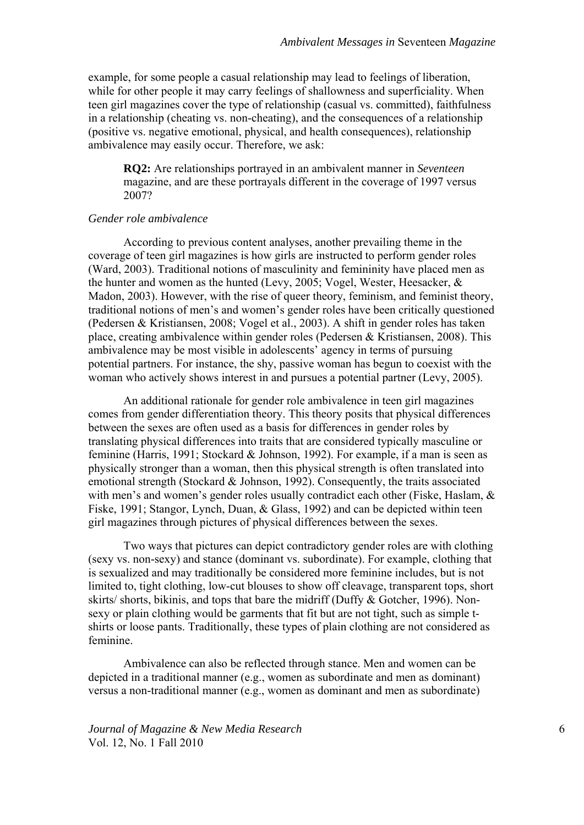example, for some people a casual relationship may lead to feelings of liberation, while for other people it may carry feelings of shallowness and superficiality. When teen girl magazines cover the type of relationship (casual vs. committed), faithfulness in a relationship (cheating vs. non-cheating), and the consequences of a relationship (positive vs. negative emotional, physical, and health consequences), relationship ambivalence may easily occur. Therefore, we ask:

**RQ2:** Are relationships portrayed in an ambivalent manner in *Seventeen* magazine, and are these portrayals different in the coverage of 1997 versus 2007?

# *Gender role ambivalence*

According to previous content analyses, another prevailing theme in the coverage of teen girl magazines is how girls are instructed to perform gender roles (Ward, 2003). Traditional notions of masculinity and femininity have placed men as the hunter and women as the hunted (Levy, 2005; Vogel, Wester, Heesacker, & Madon, 2003). However, with the rise of queer theory, feminism, and feminist theory, traditional notions of men's and women's gender roles have been critically questioned (Pedersen & Kristiansen, 2008; Vogel et al., 2003). A shift in gender roles has taken place, creating ambivalence within gender roles (Pedersen & Kristiansen, 2008). This ambivalence may be most visible in adolescents' agency in terms of pursuing potential partners. For instance, the shy, passive woman has begun to coexist with the woman who actively shows interest in and pursues a potential partner (Levy, 2005).

An additional rationale for gender role ambivalence in teen girl magazines comes from gender differentiation theory. This theory posits that physical differences between the sexes are often used as a basis for differences in gender roles by translating physical differences into traits that are considered typically masculine or feminine (Harris, 1991; Stockard & Johnson, 1992). For example, if a man is seen as physically stronger than a woman, then this physical strength is often translated into emotional strength (Stockard & Johnson, 1992). Consequently, the traits associated with men's and women's gender roles usually contradict each other (Fiske, Haslam, & Fiske, 1991; Stangor, Lynch, Duan, & Glass, 1992) and can be depicted within teen girl magazines through pictures of physical differences between the sexes.

Two ways that pictures can depict contradictory gender roles are with clothing (sexy vs. non-sexy) and stance (dominant vs. subordinate). For example, clothing that is sexualized and may traditionally be considered more feminine includes, but is not limited to, tight clothing, low-cut blouses to show off cleavage, transparent tops, short skirts/ shorts, bikinis, and tops that bare the midriff (Duffy & Gotcher, 1996). Nonsexy or plain clothing would be garments that fit but are not tight, such as simple tshirts or loose pants. Traditionally, these types of plain clothing are not considered as feminine.

Ambivalence can also be reflected through stance. Men and women can be depicted in a traditional manner (e.g., women as subordinate and men as dominant) versus a non-traditional manner (e.g., women as dominant and men as subordinate)

*Journal of Magazine & New Media Research* 6 Vol. 12, No. 1 Fall 2010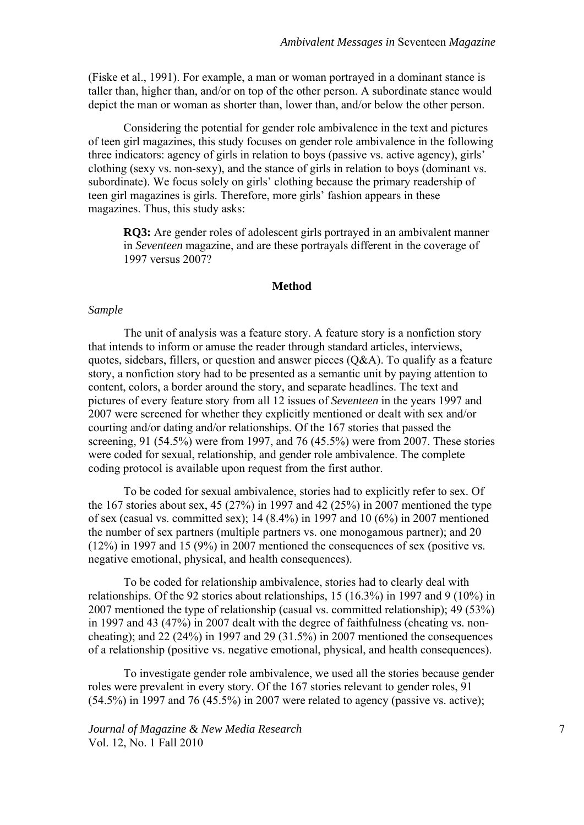(Fiske et al., 1991). For example, a man or woman portrayed in a dominant stance is taller than, higher than, and/or on top of the other person. A subordinate stance would depict the man or woman as shorter than, lower than, and/or below the other person.

Considering the potential for gender role ambivalence in the text and pictures of teen girl magazines, this study focuses on gender role ambivalence in the following three indicators: agency of girls in relation to boys (passive vs. active agency), girls' clothing (sexy vs. non-sexy), and the stance of girls in relation to boys (dominant vs. subordinate). We focus solely on girls' clothing because the primary readership of teen girl magazines is girls. Therefore, more girls' fashion appears in these magazines. Thus, this study asks:

**RQ3:** Are gender roles of adolescent girls portrayed in an ambivalent manner in *Seventeen* magazine, and are these portrayals different in the coverage of 1997 versus 2007?

#### **Method**

### *Sample*

The unit of analysis was a feature story. A feature story is a nonfiction story that intends to inform or amuse the reader through standard articles, interviews, quotes, sidebars, fillers, or question and answer pieces  $(O&A)$ . To qualify as a feature story, a nonfiction story had to be presented as a semantic unit by paying attention to content, colors, a border around the story, and separate headlines. The text and pictures of every feature story from all 12 issues of *Seventeen* in the years 1997 and 2007 were screened for whether they explicitly mentioned or dealt with sex and/or courting and/or dating and/or relationships. Of the 167 stories that passed the screening, 91 (54.5%) were from 1997, and 76 (45.5%) were from 2007. These stories were coded for sexual, relationship, and gender role ambivalence. The complete coding protocol is available upon request from the first author.

To be coded for sexual ambivalence, stories had to explicitly refer to sex. Of the 167 stories about sex, 45 (27%) in 1997 and 42 (25%) in 2007 mentioned the type of sex (casual vs. committed sex); 14 (8.4%) in 1997 and 10 (6%) in 2007 mentioned the number of sex partners (multiple partners vs. one monogamous partner); and 20 (12%) in 1997 and 15 (9%) in 2007 mentioned the consequences of sex (positive vs. negative emotional, physical, and health consequences).

To be coded for relationship ambivalence, stories had to clearly deal with relationships. Of the 92 stories about relationships, 15 (16.3%) in 1997 and 9 (10%) in 2007 mentioned the type of relationship (casual vs. committed relationship); 49 (53%) in 1997 and 43 (47%) in 2007 dealt with the degree of faithfulness (cheating vs. noncheating); and 22 (24%) in 1997 and 29 (31.5%) in 2007 mentioned the consequences of a relationship (positive vs. negative emotional, physical, and health consequences).

To investigate gender role ambivalence, we used all the stories because gender roles were prevalent in every story. Of the 167 stories relevant to gender roles, 91 (54.5%) in 1997 and 76 (45.5%) in 2007 were related to agency (passive vs. active);

*Journal of Magazine & New Media Research*  $7$ Vol. 12, No. 1 Fall 2010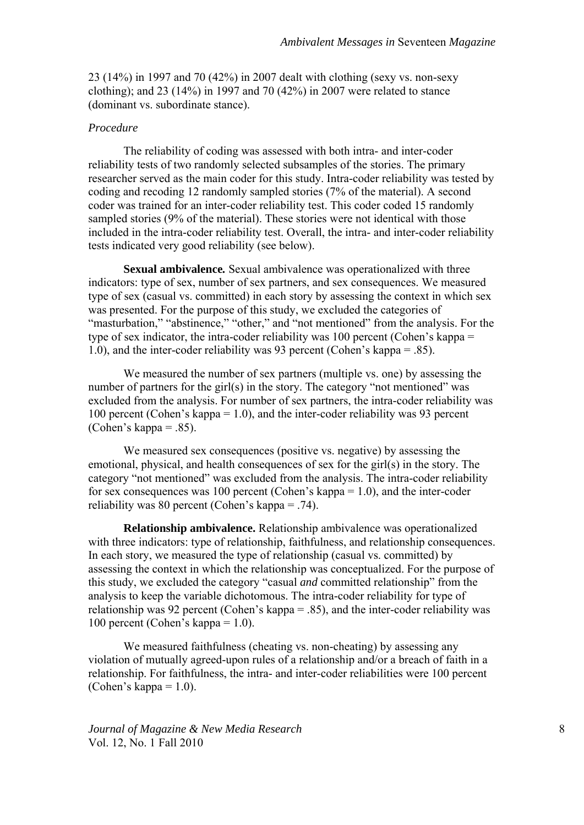23 (14%) in 1997 and 70 (42%) in 2007 dealt with clothing (sexy vs. non-sexy clothing); and 23 (14%) in 1997 and 70 (42%) in 2007 were related to stance (dominant vs. subordinate stance).

# *Procedure*

The reliability of coding was assessed with both intra- and inter-coder reliability tests of two randomly selected subsamples of the stories. The primary researcher served as the main coder for this study. Intra-coder reliability was tested by coding and recoding 12 randomly sampled stories (7% of the material). A second coder was trained for an inter-coder reliability test. This coder coded 15 randomly sampled stories (9% of the material). These stories were not identical with those included in the intra-coder reliability test. Overall, the intra- and inter-coder reliability tests indicated very good reliability (see below).

**Sexual ambivalence***.* Sexual ambivalence was operationalized with three indicators: type of sex, number of sex partners, and sex consequences. We measured type of sex (casual vs. committed) in each story by assessing the context in which sex was presented. For the purpose of this study, we excluded the categories of "masturbation," "abstinence," "other," and "not mentioned" from the analysis. For the type of sex indicator, the intra-coder reliability was 100 percent (Cohen's kappa = 1.0), and the inter-coder reliability was 93 percent (Cohen's kappa = .85).

We measured the number of sex partners (multiple vs. one) by assessing the number of partners for the girl(s) in the story. The category "not mentioned" was excluded from the analysis. For number of sex partners, the intra-coder reliability was 100 percent (Cohen's kappa = 1.0), and the inter-coder reliability was 93 percent (Cohen's kappa = .85).

We measured sex consequences (positive vs. negative) by assessing the emotional, physical, and health consequences of sex for the girl(s) in the story. The category "not mentioned" was excluded from the analysis. The intra-coder reliability for sex consequences was 100 percent (Cohen's kappa = 1.0), and the inter-coder reliability was 80 percent (Cohen's kappa = .74).

**Relationship ambivalence.** Relationship ambivalence was operationalized with three indicators: type of relationship, faithfulness, and relationship consequences. In each story, we measured the type of relationship (casual vs. committed) by assessing the context in which the relationship was conceptualized. For the purpose of this study, we excluded the category "casual *and* committed relationship" from the analysis to keep the variable dichotomous. The intra-coder reliability for type of relationship was 92 percent (Cohen's kappa = .85), and the inter-coder reliability was 100 percent (Cohen's kappa = 1.0).

We measured faithfulness (cheating vs. non-cheating) by assessing any violation of mutually agreed-upon rules of a relationship and/or a breach of faith in a relationship. For faithfulness, the intra- and inter-coder reliabilities were 100 percent (Cohen's kappa  $= 1.0$ ).

*Journal of Magazine & New Media Research* 8 Vol. 12, No. 1 Fall 2010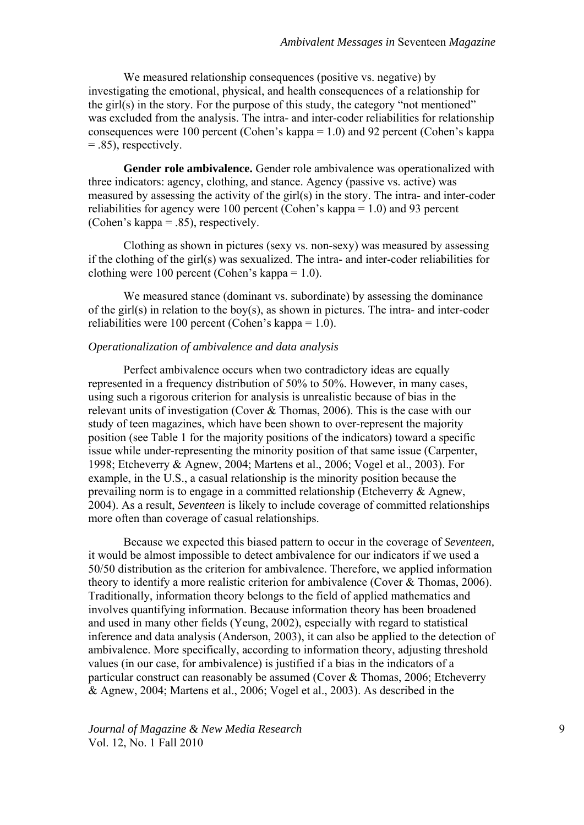We measured relationship consequences (positive vs. negative) by investigating the emotional, physical, and health consequences of a relationship for the girl(s) in the story. For the purpose of this study, the category "not mentioned" was excluded from the analysis. The intra- and inter-coder reliabilities for relationship consequences were 100 percent (Cohen's kappa = 1.0) and 92 percent (Cohen's kappa  $= .85$ ), respectively.

**Gender role ambivalence.** Gender role ambivalence was operationalized with three indicators: agency, clothing, and stance. Agency (passive vs. active) was measured by assessing the activity of the girl(s) in the story. The intra- and inter-coder reliabilities for agency were 100 percent (Cohen's kappa = 1.0) and 93 percent (Cohen's kappa = .85), respectively.

Clothing as shown in pictures (sexy vs. non-sexy) was measured by assessing if the clothing of the girl(s) was sexualized. The intra- and inter-coder reliabilities for clothing were 100 percent (Cohen's kappa = 1.0).

We measured stance (dominant vs. subordinate) by assessing the dominance of the girl(s) in relation to the boy(s), as shown in pictures. The intra- and inter-coder reliabilities were 100 percent (Cohen's kappa = 1.0).

### *Operationalization of ambivalence and data analysis*

Perfect ambivalence occurs when two contradictory ideas are equally represented in a frequency distribution of 50% to 50%. However, in many cases, using such a rigorous criterion for analysis is unrealistic because of bias in the relevant units of investigation (Cover & Thomas, 2006). This is the case with our study of teen magazines, which have been shown to over-represent the majority position (see Table 1 for the majority positions of the indicators) toward a specific issue while under-representing the minority position of that same issue (Carpenter, 1998; Etcheverry & Agnew, 2004; Martens et al., 2006; Vogel et al., 2003). For example, in the U.S., a casual relationship is the minority position because the prevailing norm is to engage in a committed relationship (Etcheverry & Agnew, 2004). As a result, *Seventeen* is likely to include coverage of committed relationships more often than coverage of casual relationships.

Because we expected this biased pattern to occur in the coverage of *Seventeen,* it would be almost impossible to detect ambivalence for our indicators if we used a 50/50 distribution as the criterion for ambivalence. Therefore, we applied information theory to identify a more realistic criterion for ambivalence (Cover & Thomas, 2006). Traditionally, information theory belongs to the field of applied mathematics and involves quantifying information. Because information theory has been broadened and used in many other fields (Yeung, 2002), especially with regard to statistical inference and data analysis (Anderson, 2003), it can also be applied to the detection of ambivalence. More specifically, according to information theory, adjusting threshold values (in our case, for ambivalence) is justified if a bias in the indicators of a particular construct can reasonably be assumed (Cover & Thomas, 2006; Etcheverry & Agnew, 2004; Martens et al., 2006; Vogel et al., 2003). As described in the

*Journal of Magazine & New Media Research* 9 Vol. 12, No. 1 Fall 2010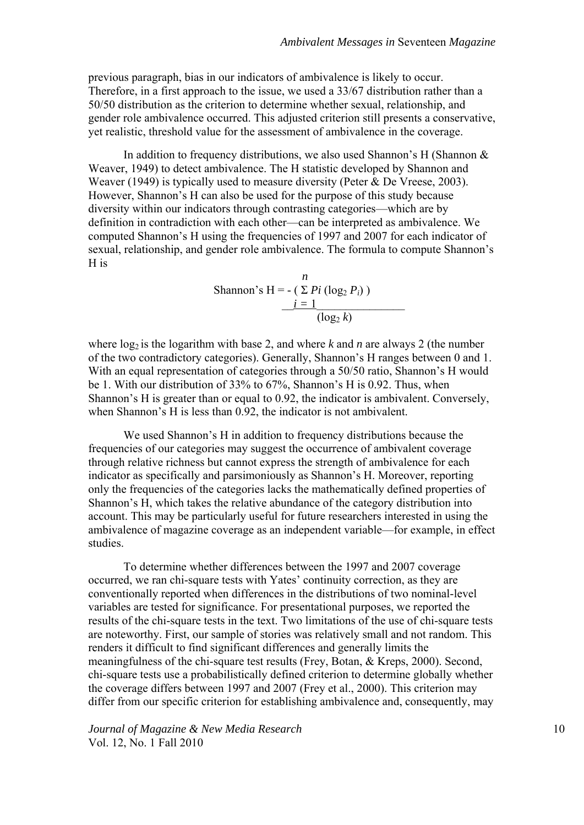previous paragraph, bias in our indicators of ambivalence is likely to occur. Therefore, in a first approach to the issue, we used a 33/67 distribution rather than a 50/50 distribution as the criterion to determine whether sexual, relationship, and gender role ambivalence occurred. This adjusted criterion still presents a conservative, yet realistic, threshold value for the assessment of ambivalence in the coverage.

In addition to frequency distributions, we also used Shannon's H (Shannon  $\&$ Weaver, 1949) to detect ambivalence. The H statistic developed by Shannon and Weaver (1949) is typically used to measure diversity (Peter & De Vreese, 2003). However, Shannon's H can also be used for the purpose of this study because diversity within our indicators through contrasting categories—which are by definition in contradiction with each other—can be interpreted as ambivalence. We computed Shannon's H using the frequencies of 1997 and 2007 for each indicator of sexual, relationship, and gender role ambivalence. The formula to compute Shannon's H is

Shannon's H = - 
$$
(\sum P i (\log_2 P_i))
$$
  

$$
\frac{i = 1}{(\log_2 k)}
$$

where  $\log_2$  is the logarithm with base 2, and where *k* and *n* are always 2 (the number of the two contradictory categories). Generally, Shannon's H ranges between 0 and 1. With an equal representation of categories through a 50/50 ratio, Shannon's H would be 1. With our distribution of 33% to 67%, Shannon's H is 0.92. Thus, when Shannon's H is greater than or equal to 0.92, the indicator is ambivalent. Conversely, when Shannon's H is less than 0.92, the indicator is not ambivalent.

We used Shannon's H in addition to frequency distributions because the frequencies of our categories may suggest the occurrence of ambivalent coverage through relative richness but cannot express the strength of ambivalence for each indicator as specifically and parsimoniously as Shannon's H. Moreover, reporting only the frequencies of the categories lacks the mathematically defined properties of Shannon's H, which takes the relative abundance of the category distribution into account. This may be particularly useful for future researchers interested in using the ambivalence of magazine coverage as an independent variable—for example, in effect studies.

To determine whether differences between the 1997 and 2007 coverage occurred, we ran chi-square tests with Yates' continuity correction, as they are conventionally reported when differences in the distributions of two nominal-level variables are tested for significance. For presentational purposes, we reported the results of the chi-square tests in the text. Two limitations of the use of chi-square tests are noteworthy. First, our sample of stories was relatively small and not random. This renders it difficult to find significant differences and generally limits the meaningfulness of the chi-square test results (Frey, Botan, & Kreps, 2000). Second, chi-square tests use a probabilistically defined criterion to determine globally whether the coverage differs between 1997 and 2007 (Frey et al., 2000). This criterion may differ from our specific criterion for establishing ambivalence and, consequently, may

*Journal of Magazine & New Media Research* 10 Vol. 12, No. 1 Fall 2010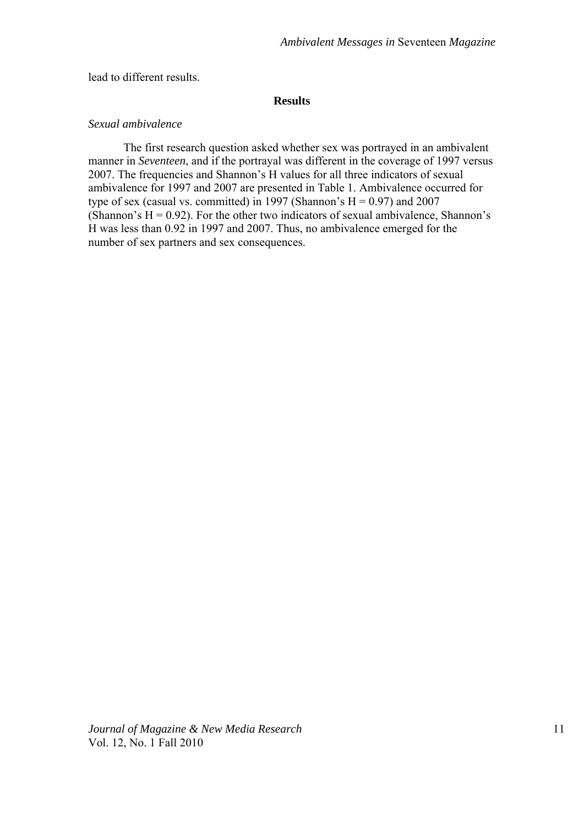lead to different results.

#### **Results**

# *Sexual ambivalence*

The first research question asked whether sex was portrayed in an ambivalent manner in *Seventeen*, and if the portrayal was different in the coverage of 1997 versus 2007. The frequencies and Shannon's H values for all three indicators of sexual ambivalence for 1997 and 2007 are presented in Table 1. Ambivalence occurred for type of sex (casual vs. committed) in 1997 (Shannon's  $H = 0.97$ ) and 2007 (Shannon's  $H = 0.92$ ). For the other two indicators of sexual ambivalence, Shannon's H was less than 0.92 in 1997 and 2007. Thus, no ambivalence emerged for the number of sex partners and sex consequences.

*Journal of Magazine & New Media Research* 11 Vol. 12, No. 1 Fall 2010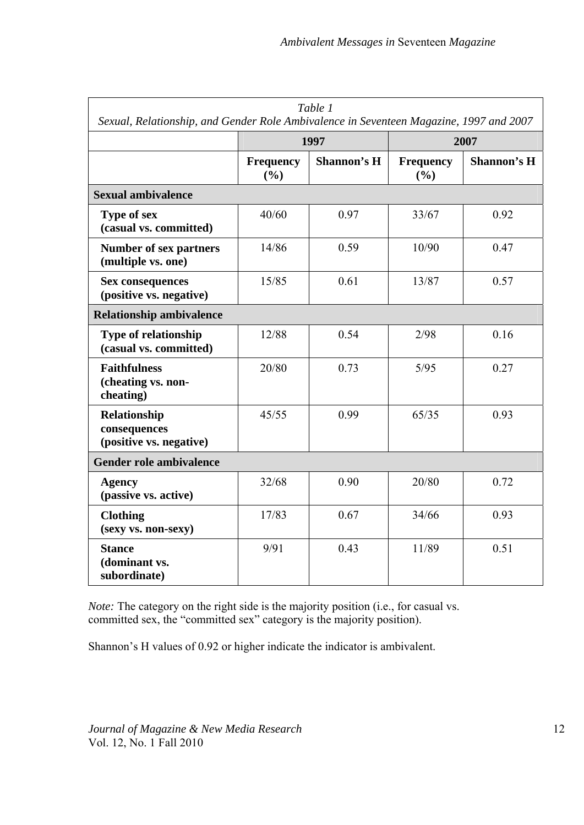| Table 1<br>Sexual, Relationship, and Gender Role Ambivalence in Seventeen Magazine, 1997 and 2007 |                         |             |                         |             |
|---------------------------------------------------------------------------------------------------|-------------------------|-------------|-------------------------|-------------|
|                                                                                                   | 1997                    |             | 2007                    |             |
|                                                                                                   | <b>Frequency</b><br>(%) | Shannon's H | <b>Frequency</b><br>(%) | Shannon's H |
| <b>Sexual ambivalence</b>                                                                         |                         |             |                         |             |
| Type of sex<br>(casual vs. committed)                                                             | 40/60                   | 0.97        | 33/67                   | 0.92        |
| <b>Number of sex partners</b><br>(multiple vs. one)                                               | 14/86                   | 0.59        | 10/90                   | 0.47        |
| <b>Sex consequences</b><br>(positive vs. negative)                                                | 15/85                   | 0.61        | 13/87                   | 0.57        |
| <b>Relationship ambivalence</b>                                                                   |                         |             |                         |             |
| <b>Type of relationship</b><br>(casual vs. committed)                                             | 12/88                   | 0.54        | 2/98                    | 0.16        |
| <b>Faithfulness</b><br>(cheating vs. non-<br>cheating)                                            | 20/80                   | 0.73        | $5/95$                  | 0.27        |
| Relationship<br>consequences<br>(positive vs. negative)                                           | 45/55                   | 0.99        | 65/35                   | 0.93        |
| Gender role ambivalence                                                                           |                         |             |                         |             |
| <b>Agency</b><br>(passive vs. active)                                                             | 32/68                   | 0.90        | 20/80                   | 0.72        |
| <b>Clothing</b><br>(sexy vs. non-sexy)                                                            | 17/83                   | 0.67        | 34/66                   | 0.93        |
| <b>Stance</b><br>(dominant vs.<br>subordinate)                                                    | 9/91                    | 0.43        | 11/89                   | 0.51        |

*Note:* The category on the right side is the majority position (i.e., for casual vs. committed sex, the "committed sex" category is the majority position).

Shannon's H values of 0.92 or higher indicate the indicator is ambivalent.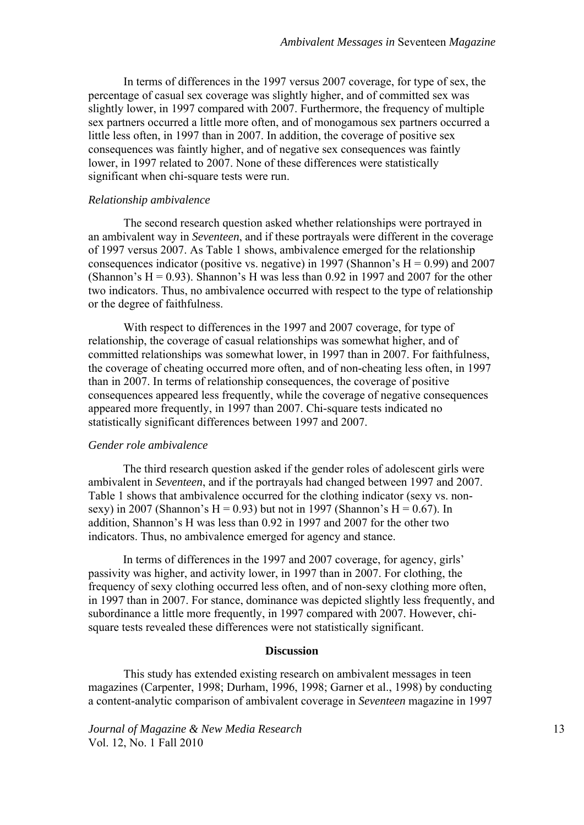In terms of differences in the 1997 versus 2007 coverage, for type of sex, the percentage of casual sex coverage was slightly higher, and of committed sex was slightly lower, in 1997 compared with 2007. Furthermore, the frequency of multiple sex partners occurred a little more often, and of monogamous sex partners occurred a little less often, in 1997 than in 2007. In addition, the coverage of positive sex consequences was faintly higher, and of negative sex consequences was faintly lower, in 1997 related to 2007. None of these differences were statistically significant when chi-square tests were run.

### *Relationship ambivalence*

The second research question asked whether relationships were portrayed in an ambivalent way in *Seventeen*, and if these portrayals were different in the coverage of 1997 versus 2007. As Table 1 shows, ambivalence emerged for the relationship consequences indicator (positive vs. negative) in 1997 (Shannon's  $H = 0.99$ ) and 2007 (Shannon's  $H = 0.93$ ). Shannon's H was less than 0.92 in 1997 and 2007 for the other two indicators. Thus, no ambivalence occurred with respect to the type of relationship or the degree of faithfulness.

With respect to differences in the 1997 and 2007 coverage, for type of relationship, the coverage of casual relationships was somewhat higher, and of committed relationships was somewhat lower, in 1997 than in 2007. For faithfulness, the coverage of cheating occurred more often, and of non-cheating less often, in 1997 than in 2007. In terms of relationship consequences, the coverage of positive consequences appeared less frequently, while the coverage of negative consequences appeared more frequently, in 1997 than 2007. Chi-square tests indicated no statistically significant differences between 1997 and 2007.

#### *Gender role ambivalence*

The third research question asked if the gender roles of adolescent girls were ambivalent in *Seventeen*, and if the portrayals had changed between 1997 and 2007. Table 1 shows that ambivalence occurred for the clothing indicator (sexy vs. nonsexy) in 2007 (Shannon's H = 0.93) but not in 1997 (Shannon's H = 0.67). In addition, Shannon's H was less than 0.92 in 1997 and 2007 for the other two indicators. Thus, no ambivalence emerged for agency and stance.

In terms of differences in the 1997 and 2007 coverage, for agency, girls' passivity was higher, and activity lower, in 1997 than in 2007. For clothing, the frequency of sexy clothing occurred less often, and of non-sexy clothing more often, in 1997 than in 2007. For stance, dominance was depicted slightly less frequently, and subordinance a little more frequently, in 1997 compared with 2007. However, chisquare tests revealed these differences were not statistically significant.

# **Discussion**

This study has extended existing research on ambivalent messages in teen magazines (Carpenter, 1998; Durham, 1996, 1998; Garner et al., 1998) by conducting a content-analytic comparison of ambivalent coverage in *Seventeen* magazine in 1997

*Journal of Magazine & New Media Research* 13 Vol. 12, No. 1 Fall 2010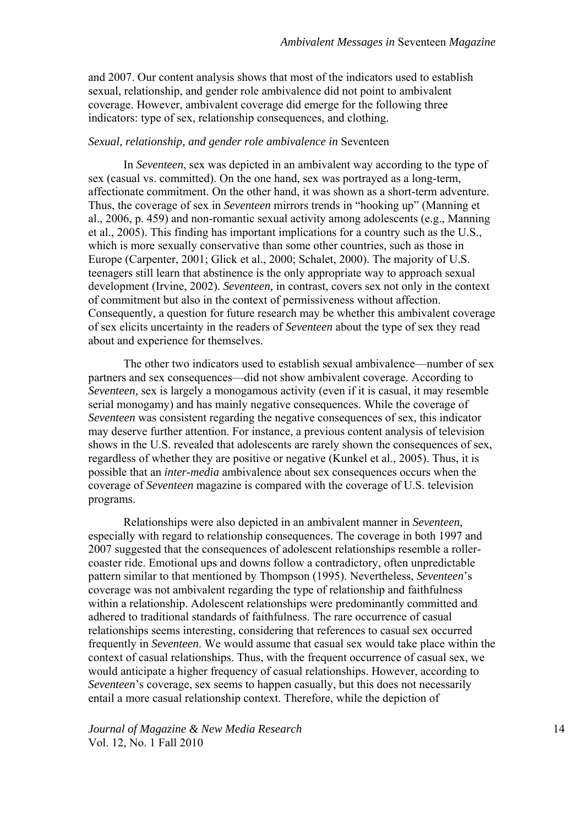and 2007. Our content analysis shows that most of the indicators used to establish sexual, relationship, and gender role ambivalence did not point to ambivalent coverage. However, ambivalent coverage did emerge for the following three indicators: type of sex, relationship consequences, and clothing.

#### *Sexual, relationship, and gender role ambivalence in* Seventeen

In *Seventeen*, sex was depicted in an ambivalent way according to the type of sex (casual vs. committed). On the one hand, sex was portrayed as a long-term, affectionate commitment. On the other hand, it was shown as a short-term adventure. Thus, the coverage of sex in *Seventeen* mirrors trends in "hooking up" (Manning et al., 2006, p. 459) and non-romantic sexual activity among adolescents (e.g., Manning et al., 2005). This finding has important implications for a country such as the U.S., which is more sexually conservative than some other countries, such as those in Europe (Carpenter, 2001; Glick et al., 2000; Schalet, 2000). The majority of U.S. teenagers still learn that abstinence is the only appropriate way to approach sexual development (Irvine, 2002). *Seventeen,* in contrast, covers sex not only in the context of commitment but also in the context of permissiveness without affection. Consequently, a question for future research may be whether this ambivalent coverage of sex elicits uncertainty in the readers of *Seventeen* about the type of sex they read about and experience for themselves.

The other two indicators used to establish sexual ambivalence—number of sex partners and sex consequences—did not show ambivalent coverage. According to *Seventeen,* sex is largely a monogamous activity (even if it is casual, it may resemble serial monogamy) and has mainly negative consequences. While the coverage of *Seventeen* was consistent regarding the negative consequences of sex, this indicator may deserve further attention. For instance, a previous content analysis of television shows in the U.S. revealed that adolescents are rarely shown the consequences of sex, regardless of whether they are positive or negative (Kunkel et al., 2005). Thus, it is possible that an *inter-media* ambivalence about sex consequences occurs when the coverage of *Seventeen* magazine is compared with the coverage of U.S. television programs.

Relationships were also depicted in an ambivalent manner in *Seventeen,* especially with regard to relationship consequences. The coverage in both 1997 and 2007 suggested that the consequences of adolescent relationships resemble a rollercoaster ride. Emotional ups and downs follow a contradictory, often unpredictable pattern similar to that mentioned by Thompson (1995). Nevertheless, *Seventeen*'s coverage was not ambivalent regarding the type of relationship and faithfulness within a relationship. Adolescent relationships were predominantly committed and adhered to traditional standards of faithfulness. The rare occurrence of casual relationships seems interesting, considering that references to casual sex occurred frequently in *Seventeen*. We would assume that casual sex would take place within the context of casual relationships. Thus, with the frequent occurrence of casual sex, we would anticipate a higher frequency of casual relationships. However, according to *Seventeen*'s coverage, sex seems to happen casually, but this does not necessarily entail a more casual relationship context. Therefore, while the depiction of

*Journal of Magazine & New Media Research* 14 Vol. 12, No. 1 Fall 2010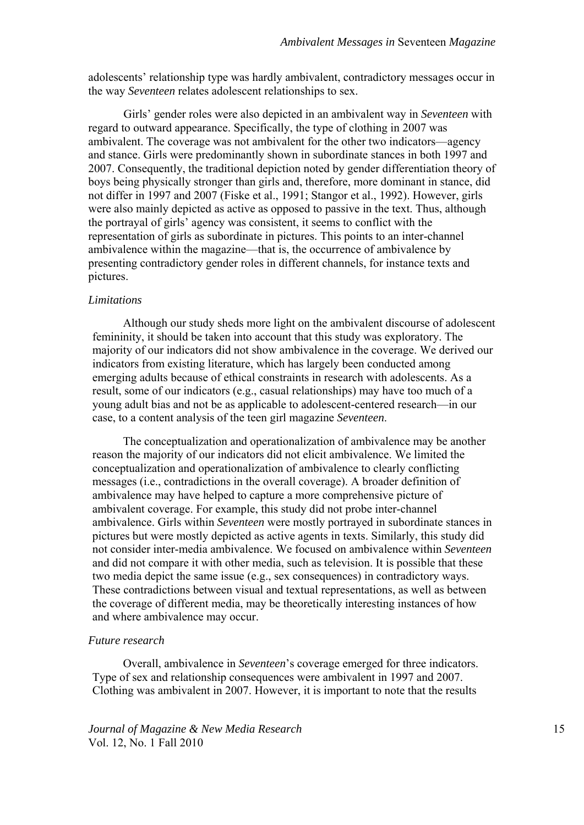adolescents' relationship type was hardly ambivalent, contradictory messages occur in the way *Seventeen* relates adolescent relationships to sex.

Girls' gender roles were also depicted in an ambivalent way in *Seventeen* with regard to outward appearance. Specifically, the type of clothing in 2007 was ambivalent. The coverage was not ambivalent for the other two indicators—agency and stance. Girls were predominantly shown in subordinate stances in both 1997 and 2007. Consequently, the traditional depiction noted by gender differentiation theory of boys being physically stronger than girls and, therefore, more dominant in stance, did not differ in 1997 and 2007 (Fiske et al., 1991; Stangor et al., 1992). However, girls were also mainly depicted as active as opposed to passive in the text. Thus, although the portrayal of girls' agency was consistent, it seems to conflict with the representation of girls as subordinate in pictures. This points to an inter-channel ambivalence within the magazine—that is, the occurrence of ambivalence by presenting contradictory gender roles in different channels, for instance texts and pictures.

#### *Limitations*

Although our study sheds more light on the ambivalent discourse of adolescent femininity, it should be taken into account that this study was exploratory. The majority of our indicators did not show ambivalence in the coverage. We derived our indicators from existing literature, which has largely been conducted among emerging adults because of ethical constraints in research with adolescents. As a result, some of our indicators (e.g., casual relationships) may have too much of a young adult bias and not be as applicable to adolescent-centered research—in our case, to a content analysis of the teen girl magazine *Seventeen*.

The conceptualization and operationalization of ambivalence may be another reason the majority of our indicators did not elicit ambivalence. We limited the conceptualization and operationalization of ambivalence to clearly conflicting messages (i.e., contradictions in the overall coverage). A broader definition of ambivalence may have helped to capture a more comprehensive picture of ambivalent coverage. For example, this study did not probe inter-channel ambivalence. Girls within *Seventeen* were mostly portrayed in subordinate stances in pictures but were mostly depicted as active agents in texts. Similarly, this study did not consider inter-media ambivalence. We focused on ambivalence within *Seventeen* and did not compare it with other media, such as television. It is possible that these two media depict the same issue (e.g., sex consequences) in contradictory ways. These contradictions between visual and textual representations, as well as between the coverage of different media, may be theoretically interesting instances of how and where ambivalence may occur.

#### *Future research*

Overall, ambivalence in *Seventeen*'s coverage emerged for three indicators. Type of sex and relationship consequences were ambivalent in 1997 and 2007. Clothing was ambivalent in 2007. However, it is important to note that the results

*Journal of Magazine & New Media Research* 15 Vol. 12, No. 1 Fall 2010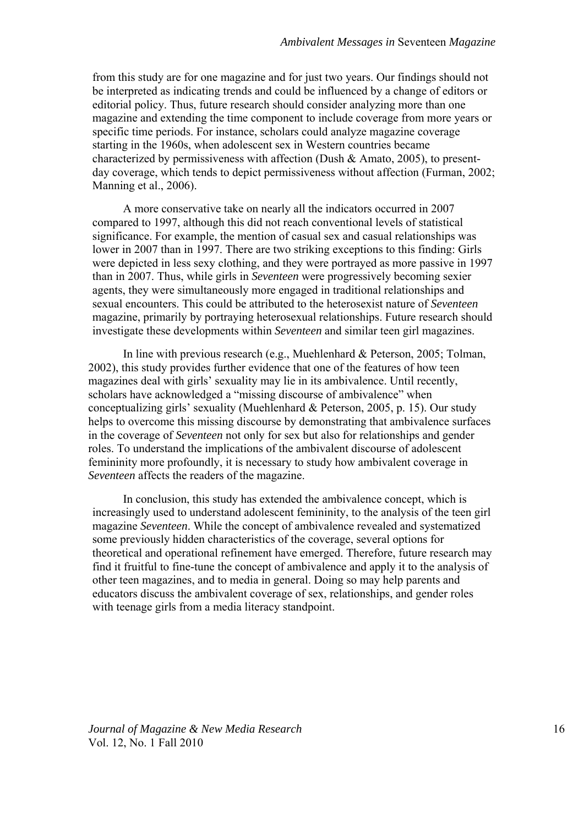from this study are for one magazine and for just two years. Our findings should not be interpreted as indicating trends and could be influenced by a change of editors or editorial policy. Thus, future research should consider analyzing more than one magazine and extending the time component to include coverage from more years or specific time periods. For instance, scholars could analyze magazine coverage starting in the 1960s, when adolescent sex in Western countries became characterized by permissiveness with affection (Dush & Amato, 2005), to presentday coverage, which tends to depict permissiveness without affection (Furman, 2002; Manning et al., 2006).

A more conservative take on nearly all the indicators occurred in 2007 compared to 1997, although this did not reach conventional levels of statistical significance. For example, the mention of casual sex and casual relationships was lower in 2007 than in 1997. There are two striking exceptions to this finding: Girls were depicted in less sexy clothing, and they were portrayed as more passive in 1997 than in 2007. Thus, while girls in *Seventeen* were progressively becoming sexier agents, they were simultaneously more engaged in traditional relationships and sexual encounters. This could be attributed to the heterosexist nature of *Seventeen* magazine, primarily by portraying heterosexual relationships. Future research should investigate these developments within *Seventeen* and similar teen girl magazines.

In line with previous research (e.g., Muehlenhard & Peterson, 2005; Tolman, 2002), this study provides further evidence that one of the features of how teen magazines deal with girls' sexuality may lie in its ambivalence. Until recently, scholars have acknowledged a "missing discourse of ambivalence" when conceptualizing girls' sexuality (Muehlenhard & Peterson, 2005, p. 15). Our study helps to overcome this missing discourse by demonstrating that ambivalence surfaces in the coverage of *Seventeen* not only for sex but also for relationships and gender roles. To understand the implications of the ambivalent discourse of adolescent femininity more profoundly, it is necessary to study how ambivalent coverage in *Seventeen* affects the readers of the magazine.

In conclusion, this study has extended the ambivalence concept, which is increasingly used to understand adolescent femininity, to the analysis of the teen girl magazine *Seventeen*. While the concept of ambivalence revealed and systematized some previously hidden characteristics of the coverage, several options for theoretical and operational refinement have emerged. Therefore, future research may find it fruitful to fine-tune the concept of ambivalence and apply it to the analysis of other teen magazines, and to media in general. Doing so may help parents and educators discuss the ambivalent coverage of sex, relationships, and gender roles with teenage girls from a media literacy standpoint.

*Journal of Magazine & New Media Research* 16 Vol. 12, No. 1 Fall 2010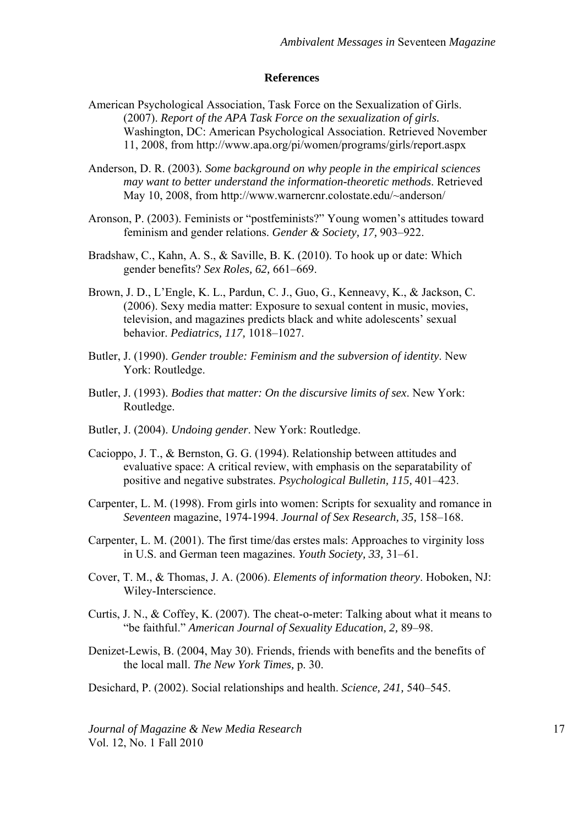### **References**

- American Psychological Association, Task Force on the Sexualization of Girls. (2007). *Report of the APA Task Force on the sexualization of girls.*  Washington, DC: American Psychological Association. Retrieved November 11, 2008, from http://www.apa.org/pi/women/programs/girls/report.aspx
- Anderson, D. R. (2003)*. Some background on why people in the empirical sciences may want to better understand the information-theoretic methods*. Retrieved May 10, 2008, from http://www.warnercnr.colostate.edu/~anderson/
- Aronson, P. (2003). Feminists or "postfeminists?" Young women's attitudes toward feminism and gender relations. *Gender & Society, 17,* 903–922.
- Bradshaw, C., Kahn, A. S., & Saville, B. K. (2010). To hook up or date: Which gender benefits? *Sex Roles, 62,* 661–669.
- Brown, J. D., L'Engle, K. L., Pardun, C. J., Guo, G., Kenneavy, K., & Jackson, C. (2006). Sexy media matter: Exposure to sexual content in music, movies, television, and magazines predicts black and white adolescents' sexual behavior. *Pediatrics, 117,* 1018–1027.
- Butler, J. (1990). *Gender trouble: Feminism and the subversion of identity*. New York: Routledge.
- Butler, J. (1993). *Bodies that matter: On the discursive limits of sex*. New York: Routledge.
- Butler, J. (2004). *Undoing gender*. New York: Routledge.
- Cacioppo, J. T., & Bernston, G. G. (1994). Relationship between attitudes and evaluative space: A critical review, with emphasis on the separatability of positive and negative substrates. *Psychological Bulletin, 115,* 401–423.
- Carpenter, L. M. (1998). From girls into women: Scripts for sexuality and romance in *Seventeen* magazine, 1974-1994. *Journal of Sex Research, 35,* 158–168.
- Carpenter, L. M. (2001). The first time/das erstes mals: Approaches to virginity loss in U.S. and German teen magazines. *Youth Society, 33,* 31–61.
- Cover, T. M., & Thomas, J. A. (2006). *Elements of information theory*. Hoboken, NJ: Wiley-Interscience.
- Curtis, J. N., & Coffey, K. (2007). The cheat-o-meter: Talking about what it means to "be faithful." *American Journal of Sexuality Education, 2,* 89–98.
- Denizet-Lewis, B. (2004, May 30). Friends, friends with benefits and the benefits of the local mall. *The New York Times,* p. 30.

Desichard, P. (2002). Social relationships and health. *Science, 241,* 540–545.

*Journal of Magazine & New Media Research* 17 Vol. 12, No. 1 Fall 2010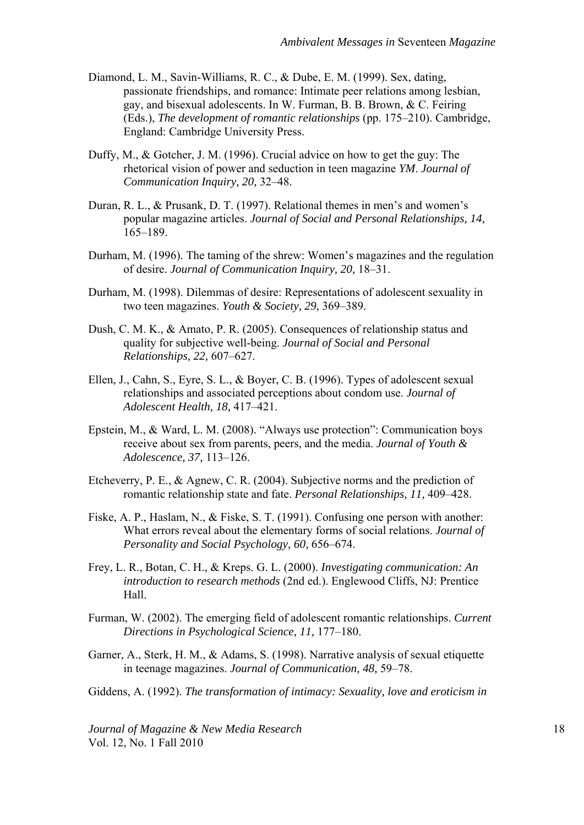- Diamond, L. M., Savin-Williams, R. C., & Dube, E. M. (1999). Sex, dating, passionate friendships, and romance: Intimate peer relations among lesbian, gay, and bisexual adolescents. In W. Furman, B. B. Brown, & C. Feiring (Eds.), *The development of romantic relationships* (pp. 175–210). Cambridge, England: Cambridge University Press.
- Duffy, M., & Gotcher, J. M. (1996). Crucial advice on how to get the guy: The rhetorical vision of power and seduction in teen magazine *YM*. *Journal of Communication Inquiry, 20,* 32–48.
- Duran, R. L., & Prusank, D. T. (1997). Relational themes in men's and women's popular magazine articles. *Journal of Social and Personal Relationships, 14,* 165–189.
- Durham, M. (1996). The taming of the shrew: Women's magazines and the regulation of desire. *Journal of Communication Inquiry, 20,* 18–31.
- Durham, M. (1998). Dilemmas of desire: Representations of adolescent sexuality in two teen magazines. *Youth & Society, 29*, 369–389.
- Dush, C. M. K., & Amato, P. R. (2005). Consequences of relationship status and quality for subjective well-being. *Journal of Social and Personal Relationships, 22,* 607–627.
- Ellen, J., Cahn, S., Eyre, S. L., & Boyer, C. B. (1996). Types of adolescent sexual relationships and associated perceptions about condom use. *Journal of Adolescent Health, 18,* 417–421.
- Epstein, M., & Ward, L. M. (2008). "Always use protection": Communication boys receive about sex from parents, peers, and the media. *Journal of Youth & Adolescence, 37,* 113–126.
- Etcheverry, P. E., & Agnew, C. R. (2004). Subjective norms and the prediction of romantic relationship state and fate. *Personal Relationships, 11,* 409–428.
- [Fiske, A. P., Haslam, N., & Fiske, S. T. \(1991\)](http://ovidsp.tx.ovid.com/spb/ovidweb.cgi?QS2=434f4e1a73d37e8c801e28bf12495710c810486bc5b0f8678e47c1066990d3bd8247350662d43560abf156097ae5a163bb4ea845993cf470864e65d1a9f75cad3d0b1a1b8212f53b860686a7d501a74431ec6226ca84a0c200c11e589f37b45783063fac7ddb31505218f17c4681bbb2f00fa6642c70ff7cc328f34f7573dffe107cac126d6e20efde46d7de8d561d823365cb7ebe1c02e1b64fc556a2226a5039cb5110413c25f24da370235f54b2fbfdb18d5560e1974f5c36f887f0eb0d2f5794c3e3e4fade01fc797c862607ca4ae8f39be803f1a7522f1ee45b93527627578d55aeb4488e8c23#188#188). Confusing one person with another: What errors reveal about the elementary forms of social relations. *Journal of Personality and Social Psychology, 60,* 656–674.
- Frey, L. R., Botan, C. H., & Kreps. G. L. (2000). *Investigating communication: An introduction to research methods* (2nd ed.). Englewood Cliffs, NJ: Prentice Hall.
- Furman, W. (2002). The emerging field of adolescent romantic relationships. *Current Directions in Psychological Science, 11,* 177–180.
- Garner, A., Sterk, H. M., & Adams, S. (1998). Narrative analysis of sexual etiquette in teenage magazines. *Journal of Communication, 48,* 59–78.

Giddens, A. (1992). *The transformation of intimacy: Sexuality, love and eroticism in* 

*Journal of Magazine & New Media Research* 18 Vol. 12, No. 1 Fall 2010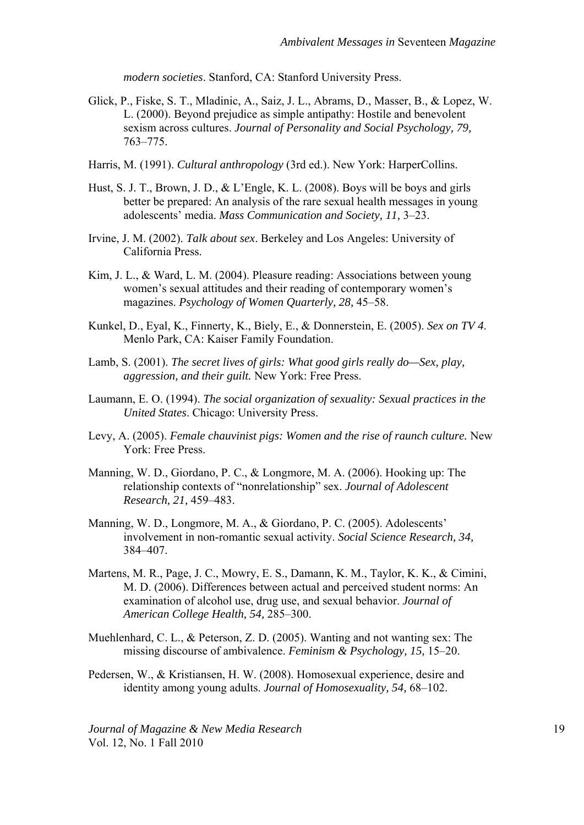*modern societies*. Stanford, CA: Stanford University Press.

- Glick, P., Fiske, S. T., Mladinic, A., Saiz, J. L., Abrams, D., Masser, B., & Lopez, W. L. (2000). Beyond prejudice as simple antipathy: Hostile and benevolent sexism across cultures. *Journal of Personality and Social Psychology, 79,* 763–775.
- [Harris, M. \(1991\)](http://ovidsp.tx.ovid.com/spb/ovidweb.cgi?QS2=434f4e1a73d37e8c801e28bf12495710c810486bc5b0f8678e47c1066990d3bd8247350662d43560abf156097ae5a163bb4ea845993cf470864e65d1a9f75cad3d0b1a1b8212f53b860686a7d501a74431ec6226ca84a0c200c11e589f37b45783063fac7ddb31505218f17c4681bbb2f00fa6642c70ff7cc328f34f7573dffe107cac126d6e20efde46d7de8d561d823365cb7ebe1c02e1b64fc556a2226a5039cb5110413c25f24da370235f54b2fbfdb18d5560e1974f5c36f887f0eb0d2f5794c3e3e4fade01fc797c862607ca4ae8f39be803f1a7522f1ee45b93527627578d55aeb4488e8c23#198#198). *Cultural anthropology* (3rd ed.). New York: HarperCollins.
- Hust, S. J. T., Brown, J. D., & L'Engle, K. L. (2008). Boys will be boys and girls better be prepared: An analysis of the rare sexual health messages in young adolescents' media. *Mass Communication and Society, 11,* 3–23.
- Irvine, J. M. (2002). *Talk about sex*. Berkeley and Los Angeles: University of California Press.
- Kim, J. L., & Ward, L. M. (2004). Pleasure reading: Associations between young women's sexual attitudes and their reading of contemporary women's magazines. *Psychology of Women Quarterly, 28,* 45–58.
- Kunkel, D., Eyal, K., Finnerty, K., Biely, E., & Donnerstein, E. (2005). *Sex on TV 4*. Menlo Park, CA: Kaiser Family Foundation.
- Lamb, S. (2001). *The secret lives of girls: What good girls really do—Sex, play, aggression, and their guilt.* New York: Free Press.
- Laumann, E. O. (1994). *The social organization of sexuality: Sexual practices in the United States*. Chicago: University Press.
- Levy, A. (2005). *Female chauvinist pigs: Women and the rise of raunch culture.* New York: Free Press.
- Manning, W. D., Giordano, P. C., & Longmore, M. A. (2006). Hooking up: The relationship contexts of "nonrelationship" sex. *Journal of Adolescent Research, 21,* 459–483.
- Manning, W. D., Longmore, M. A., & Giordano, P. C. (2005). Adolescents' involvement in non-romantic sexual activity. *Social Science Research, 34,* 384–407.
- Martens, M. R., Page, J. C., Mowry, E. S., Damann, K. M., Taylor, K. K., & Cimini, M. D. (2006). Differences between actual and perceived student norms: An examination of alcohol use, drug use, and sexual behavior. *Journal of American College Health, 54,* 285–300.
- Muehlenhard, C. L., & Peterson, Z. D. (2005). Wanting and not wanting sex: The missing discourse of ambivalence. *Feminism & Psychology, 15,* 15–20.
- Pedersen, W., & Kristiansen, H. W. (2008). Homosexual experience, desire and identity among young adults. *Journal of Homosexuality, 54,* 68–102.

*Journal of Magazine & New Media Research* 19 Vol. 12, No. 1 Fall 2010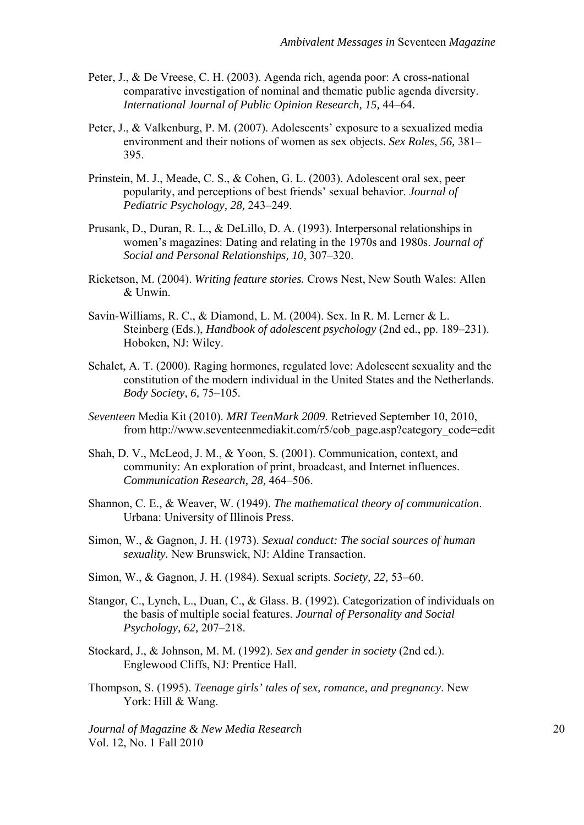- Peter, J., & De Vreese, C. H. (2003). Agenda rich, agenda poor: A cross-national comparative investigation of nominal and thematic public agenda diversity. *International Journal of Public Opinion Research, 15,* 44–64.
- Peter, J., & Valkenburg, P. M. (2007). Adolescents' exposure to a sexualized media environment and their notions of women as sex objects. *Sex Roles*, *56,* 381– 395.
- Prinstein, M. J., Meade, C. S., & Cohen, G. L. (2003). Adolescent oral sex, peer popularity, and perceptions of best friends' sexual behavior. *Journal of Pediatric Psychology, 28,* 243–249.
- Prusank, D., Duran, R. L., & DeLillo, D. A. (1993). Interpersonal relationships in women's magazines: Dating and relating in the 1970s and 1980s. *Journal of Social and Personal Relationships, 10,* 307–320.
- Ricketson, M. (2004). *Writing feature stories.* Crows Nest, New South Wales: Allen & Unwin.
- Savin-Williams, R. C., & Diamond, L. M. (2004). Sex. In R. M. Lerner & L. Steinberg (Eds.), *Handbook of adolescent psychology* (2nd ed., pp. 189–231). Hoboken, NJ: Wiley.
- Schalet, A. T. (2000). Raging hormones, regulated love: Adolescent sexuality and the constitution of the modern individual in the United States and the Netherlands. *Body Society, 6,* 75–105.
- *Seventeen* Media Kit (2010). *MRI TeenMark 2009*. Retrieved September 10, 2010, from http://www.seventeenmediakit.com/r5/cob\_page.asp?category\_code=edit
- Shah, D. V., McLeod, J. M., & Yoon, S. (2001). Communication, context, and community: An exploration of print, broadcast, and Internet influences. *Communication Research, 28,* 464–506.
- Shannon, C. E., & Weaver, W. (1949). *The mathematical theory of communication*. Urbana: University of Illinois Press.
- Simon, W., & Gagnon, J. H. (1973). *Sexual conduct: The social sources of human sexuality.* New Brunswick, NJ: Aldine Transaction.
- Simon, W., & Gagnon, J. H. (1984). Sexual scripts. *Society, 22,* 53–60.
- Stangor, C., Lynch, L., Duan, C., & Glass. B. (1992). Categorization of individuals on the basis of multiple social features. *Journal of Personality and Social Psychology, 62,* 207–218.
- Stockard, J., & Johnson, M. M. (1992). *Sex and gender in society* (2nd ed.). Englewood Cliffs, NJ: Prentice Hall.
- Thompson, S. (1995). *Teenage girls' tales of sex, romance, and pregnancy*. New York: Hill & Wang.

*Journal of Magazine & New Media Research* 20 Vol. 12, No. 1 Fall 2010